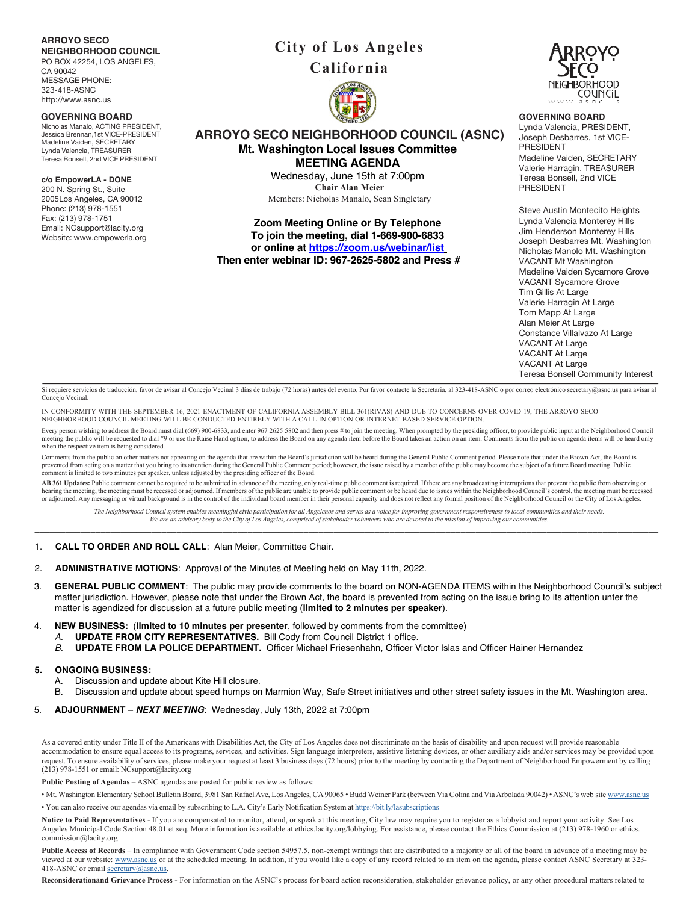## **ARROYO SECO**

**NEIGHBORHOOD COUNCIL** PO BOX 42254, LOS ANGELES, CA 90042 MESSAGE PHONE: 323-418-ASNC http://www.asnc.us

#### **GOVERNING BOARD**

Nicholas Manalo, ACTING PRESIDENT, Jessica Brennan,1st VICE-PRESIDENT Madeline Vaiden, SECRETARY Lynda Valencia, TREASURER Teresa Bonsell, 2nd VICE PRESIDENT

**c/o EmpowerLA - DONE** 200 N. Spring St., Suite

2005Los Angeles, CA 90012 Phone: (213) 978-1551 Fax: (213) 978-1751 Email: NCsupport@lacity.org Website: www.empowerla.org

# **City of Los Angeles California**



## **ARROYO SECO NEIGHBORHOOD COUNCIL (ASNC) Mt. Washington Local Issues Committee MEETING AGENDA**

Wednesday, June 15th at 7:00pm **Chair Alan Meier** Members: Nicholas Manalo, Sean Singletary

**Zoom Meeting Online or By Telephone To join the meeting, dial 1-669-900-6833 or online at https://zoom.us/webinar/list**

**Then enter webinar ID: 967-2625-5802 and Press #**



## **GOVERNING BOARD**

Lynda Valencia, PRESIDENT, Joseph Desbarres, 1st VICE-PRESIDENT Madeline Vaiden, SECRETARY Valerie Harragin, TREASURER Teresa Bonsell, 2nd VICE PRESIDENT

Steve Austin Montecito Heights Lynda Valencia Monterey Hills Jim Henderson Monterey Hills Joseph Desbarres Mt. Washington Nicholas Manolo Mt. Washington VACANT Mt Washington Madeline Vaiden Sycamore Grove VACANT Sycamore Grove Tim Gillis At Large Valerie Harragin At Large Tom Mapp At Large Alan Meier At Large Constance Villalvazo At Large VACANT At Large VACANT At Large VACANT At Large Teresa Bonsell Community Interest

Si requiere servicios de traducción, favor de avisar al Concejo Vecinal 3 días de trabajo (72 horas) antes del evento. Por favor contacte la Secretaria, al 323-418-ASNC o por correo electrónico secretary@asnc.us para avisa Concejo Vecina

IN CONFORMITY WITH THE SEPTEMBER 16, 2021 ENACTMENT OF CALIFORNIA ASSEMBLY BILL 361(RIVAS) AND DUE TO CONCERNS OVER COVID-19, THE ARROYO SECO<br>NEIGHBORHOOD COUNCIL MEETING WILL BE CONDUCTED ENTIRELY WITH A CALL-IN OPTION OR

Every person wishing to address the Board must dial (669) 900-6833, and enter 967 2625 5802 and then press # to join the meeting. When prompted by the presiding officer, to provide public input at the Neighborhood Council meeting the public will be requested to dial \*9 or use the Raise Hand option, to address the Board on any agenda item before the Board takes an action on an item. Comments from the public on agenda items will be heard only when the respective item is being considered.

Comments from the public on other matters not appearing on the agenda that are within the Board's jurisdiction will be heard during the General Public Comment period. Please note that under the Brown Act, the Board is prevented from acting on a matter that you bring to its attention during the General Public Comment period; however, the issue raised by a member of the public may become the subject of a future Board meeting. Public<br>comme

AB 361 Updates: Public comment cannot be required to be submitted in advance of the meeting, only real-time public comment is required. If there are any broadcasting interruptions that prevent the public from observing or<br> or adjourned. Any messaging or virtual background is in the control of the individual board member in their personal capacity and does not reflect any formal position of the Neighborhood Council or the City of Los Angeles.

The Neighborhood Council system enables meaningful civic participation for all Angelenos and serves as a voice for improving government responsiveness to local communities and their needs. We are an advisory body to the City of Los Angeles, comprised of stakeholder volunteers who are devoted to the mission of improving our communities. \_\_\_\_\_\_\_\_\_\_\_\_\_\_\_\_\_\_\_\_\_\_\_\_\_\_\_\_\_\_\_\_\_\_\_\_\_\_\_\_\_\_\_\_\_\_\_\_\_\_\_\_\_\_\_\_\_\_\_\_\_\_\_\_\_\_\_\_\_\_\_\_\_\_\_\_\_\_\_\_\_\_\_\_\_\_\_\_\_\_\_\_\_\_\_\_\_\_\_\_\_\_\_\_\_\_\_\_\_\_\_\_\_\_\_\_\_\_\_\_\_\_\_

- 1. **CALL TO ORDER AND ROLL CALL**: Alan Meier, Committee Chair.
- 2. **ADMINISTRATIVE MOTIONS**: Approval of the Minutes of Meeting held on May 11th, 2022.
- 3. **GENERAL PUBLIC COMMENT**: The public may provide comments to the board on NON-AGENDA ITEMS within the Neighborhood Council's subject matter jurisdiction. However, please note that under the Brown Act, the board is prevented from acting on the issue bring to its attention unter the matter is agendized for discussion at a future public meeting (**limited to 2 minutes per speaker**).
- 4. **NEW BUSINESS:** (**limited to 10 minutes per presenter**, followed by comments from the committee)
	- *A.* **UPDATE FROM CITY REPRESENTATIVES.** Bill Cody from Council District 1 office.
	- *B.* **UPDATE FROM LA POLICE DEPARTMENT.** Officer Michael Friesenhahn, Officer Victor Islas and Officer Hainer Hernandez

## **5. ONGOING BUSINESS:**

- A. Discussion and update about Kite Hill closure.
- B. Discussion and update about speed humps on Marmion Way, Safe Street initiatives and other street safety issues in the Mt. Washington area.
- 5. **ADJOURNMENT –** *NEXT MEETING*: Wednesday, July 13th, 2022 at 7:00pm

As a covered entity under Title II of the Americans with Disabilities Act, the City of Los Angeles does not discriminate on the basis of disability and upon request will provide reasonable accommodation to ensure equal access to its programs, services, and activities. Sign language interpreters, assistive listening devices, or other auxiliary aids and/or services may be provided upon request. To ensure availability of services, please make your request at least 3 business days (72 hours) prior to the meeting by contacting the Department of Neighborhood Empowerment by calling (213) 978-1551 or email: NCsupport@lacity.org

\_\_\_\_\_\_\_\_\_\_\_\_\_\_\_\_\_\_\_\_\_\_\_\_\_\_\_\_\_\_\_\_\_\_\_\_\_\_\_\_\_\_\_\_\_\_\_\_\_\_\_\_\_\_\_\_\_\_\_\_\_\_\_\_\_\_\_\_\_\_\_\_\_\_\_\_\_\_\_\_\_\_\_\_\_\_\_\_\_\_\_\_\_\_\_\_\_\_\_\_\_\_\_\_\_\_\_\_\_\_\_\_\_\_\_\_\_\_\_\_\_\_\_\_

**Public Posting of Agendas** – ASNC agendas are posted for public review as follows:

• Mt. Washington Elementary School Bulletin Board, 3981 San Rafael Ave, Los Angeles, CA 90065 • Budd Weiner Park (between Via Colina and Via Arbolada 90042) • ASNC's web site www.asnc.us

• You can also receive our agendas via email by subscribing to L.A. City's Early Notification System at https://bit.ly/lasubscriptions

**Notice to Paid Representatives** - If you are compensated to monitor, attend, or speak at this meeting, City law may require you to register as a lobbyist and report your activity. See Los Angeles Municipal Code Section 48.01 et seq. More information is available at ethics.lacity.org/lobbying. For assistance, please contact the Ethics Commission at (213) 978-1960 or ethics. commission@lacity.org

Public Access of Records - In compliance with Government Code section 54957.5, non-exempt writings that are distributed to a majority or all of the board in advance of a meeting may be viewed at our website: **www.asnc.us** or at the scheduled meeting. In addition, if you would like a copy of any record related to an item on the agenda, please contact ASNC Secretary at 323-418-ASNC or email secretary@asnc.us.

**Reconsiderationand Grievance Process** - For information on the ASNC's process for board action reconsideration, stakeholder grievance policy, or any other procedural matters related to